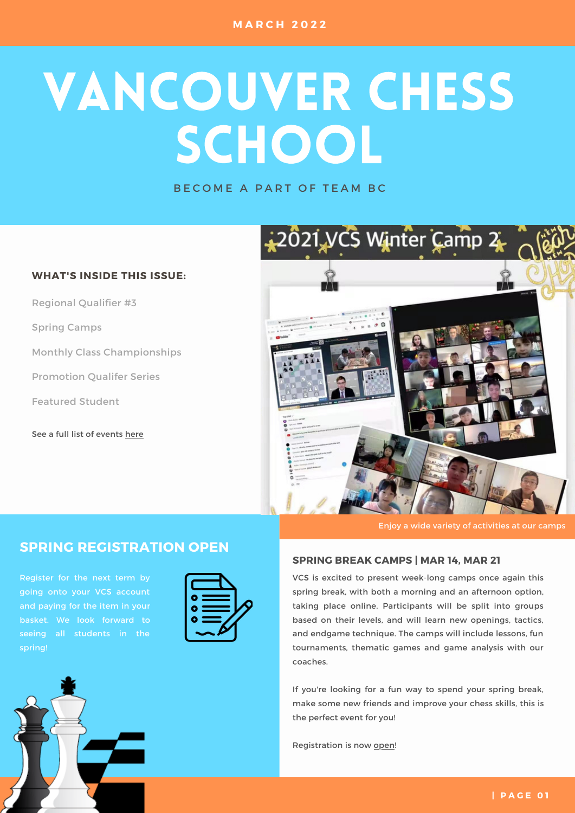# VANCOUVER CHESS SCHOOL

BECOME A PART OF TEAM BC

### **WHAT'S INSIDE THIS ISSUE:**

Regional Qualifier #3

Spring Camps

Monthly Class Championships

Promotion Qualifer Series

Featured Student

See a full list of events [here](https://www.vanchess.ca/events)



Enjoy a wide variety of activities at our camps

## **SPRING REGISTRATION OPEN**

Register for the next term by going onto your VCS account and paying for the item in your basket. We look forward to seeing all students in the



#### **SPRING BREAK CAMPS | MAR 14, MAR 21**

VCS is excited to present week-long camps once again this spring break, with both a morning and an afternoon option, taking place online. Participants will be split into groups based on their levels, and will learn new openings, tactics, and endgame technique. The camps will include lessons, fun tournaments, thematic games and game analysis with our coaches.

If you're looking for a fun way to spend your spring break, make some new friends and improve your chess skills, this is the perfect event for you!

Registration is now [open!](https://www.vanchess.ca/events?events[0]=12)